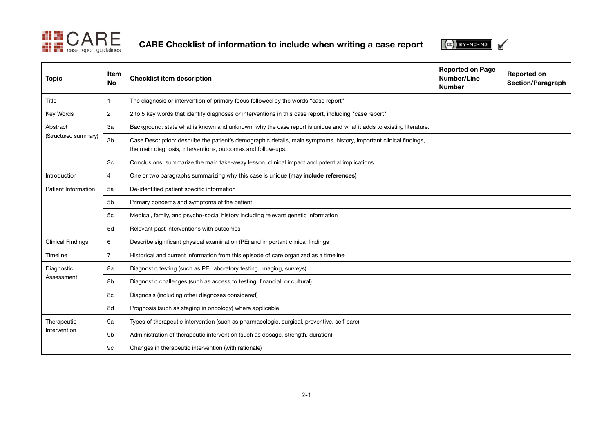

CARE Checklist of information to include when writing a case report



| <b>Topic</b>                     | Item<br><b>No</b> | <b>Checklist item description</b>                                                                                                                                                 | <b>Reported on Page</b><br>Number/Line<br><b>Number</b> | <b>Reported on</b><br>Section/Paragraph |
|----------------------------------|-------------------|-----------------------------------------------------------------------------------------------------------------------------------------------------------------------------------|---------------------------------------------------------|-----------------------------------------|
| Title                            |                   | The diagnosis or intervention of primary focus followed by the words "case report"                                                                                                |                                                         |                                         |
| Key Words                        | $\overline{2}$    | 2 to 5 key words that identify diagnoses or interventions in this case report, including "case report"                                                                            |                                                         |                                         |
| Abstract<br>(Structured summary) | 3a                | Background: state what is known and unknown; why the case report is unique and what it adds to existing literature.                                                               |                                                         |                                         |
|                                  | 3 <sub>b</sub>    | Case Description: describe the patient's demographic details, main symptoms, history, important clinical findings,<br>the main diagnosis, interventions, outcomes and follow-ups. |                                                         |                                         |
|                                  | 3c                | Conclusions: summarize the main take-away lesson, clinical impact and potential implications.                                                                                     |                                                         |                                         |
| Introduction                     | 4                 | One or two paragraphs summarizing why this case is unique (may include references)                                                                                                |                                                         |                                         |
| Patient Information              | 5a                | De-identified patient specific information                                                                                                                                        |                                                         |                                         |
|                                  | 5 <sub>b</sub>    | Primary concerns and symptoms of the patient                                                                                                                                      |                                                         |                                         |
|                                  | 5c                | Medical, family, and psycho-social history including relevant genetic information                                                                                                 |                                                         |                                         |
|                                  | 5d                | Relevant past interventions with outcomes                                                                                                                                         |                                                         |                                         |
| <b>Clinical Findings</b>         | 6                 | Describe significant physical examination (PE) and important clinical findings                                                                                                    |                                                         |                                         |
| Timeline                         | $\overline{7}$    | Historical and current information from this episode of care organized as a timeline                                                                                              |                                                         |                                         |
| Diagnostic<br>Assessment         | 8a                | Diagnostic testing (such as PE, laboratory testing, imaging, surveys).                                                                                                            |                                                         |                                         |
|                                  | 8b                | Diagnostic challenges (such as access to testing, financial, or cultural)                                                                                                         |                                                         |                                         |
|                                  | 8c                | Diagnosis (including other diagnoses considered)                                                                                                                                  |                                                         |                                         |
|                                  | 8d                | Prognosis (such as staging in oncology) where applicable                                                                                                                          |                                                         |                                         |
| Therapeutic<br>Intervention      | 9a                | Types of therapeutic intervention (such as pharmacologic, surgical, preventive, self-care)                                                                                        |                                                         |                                         |
|                                  | 9 <sub>b</sub>    | Administration of therapeutic intervention (such as dosage, strength, duration)                                                                                                   |                                                         |                                         |
|                                  | 9 <sub>c</sub>    | Changes in therapeutic intervention (with rationale)                                                                                                                              |                                                         |                                         |